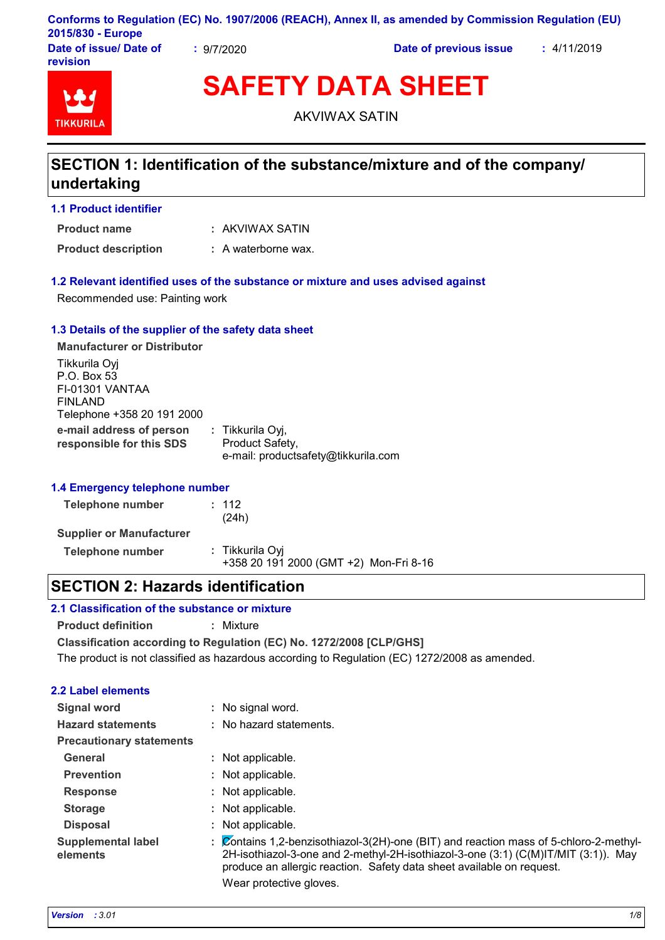|                        |          | Conforms to Regulation (EC) No. 1907/2006 (REACH), Annex II, as amended by Commission Regulation (EU) |             |
|------------------------|----------|-------------------------------------------------------------------------------------------------------|-------------|
| 2015/830 - Europe      |          |                                                                                                       |             |
| Date of issue/ Date of | 9/7/2020 | Date of previous issue                                                                                | : 4/11/2019 |

**revision**



**SAFETY DATA SHEET**

AKVIWAX SATIN

# **SECTION 1: Identification of the substance/mixture and of the company/ undertaking**

**1.1 Product identifier**

AKVIWAX SATIN **: Product name**

**Product description :** A waterborne wax.

#### **1.2 Relevant identified uses of the substance or mixture and uses advised against**

Recommended use: Painting work

### **1.3 Details of the supplier of the safety data sheet**

**e-mail address of person responsible for this SDS :** Tikkurila Oyj, Product Safety, e-mail: productsafety@tikkurila.com **Manufacturer or Distributor** Tikkurila Oyj P.O. Box 53 FI-01301 VANTAA FINLAND Telephone +358 20 191 2000

### **1.4 Emergency telephone number**

| Telephone number                | : 112<br>(24h)                                            |
|---------------------------------|-----------------------------------------------------------|
| <b>Supplier or Manufacturer</b> |                                                           |
| Telephone number                | : Tikkurila Oyi<br>+358 20 191 2000 (GMT +2) Mon-Fri 8-16 |

# **SECTION 2: Hazards identification**

## **2.1 Classification of the substance or mixture**

**Product definition :** Mixture

**Classification according to Regulation (EC) No. 1272/2008 [CLP/GHS]**

The product is not classified as hazardous according to Regulation (EC) 1272/2008 as amended.

## **2.2 Label elements**

| <b>Signal word</b>                    |    | : No signal word.                                                                                                                                                                                                                                    |
|---------------------------------------|----|------------------------------------------------------------------------------------------------------------------------------------------------------------------------------------------------------------------------------------------------------|
| <b>Hazard statements</b>              |    | : No hazard statements.                                                                                                                                                                                                                              |
| <b>Precautionary statements</b>       |    |                                                                                                                                                                                                                                                      |
| General                               |    | : Not applicable.                                                                                                                                                                                                                                    |
| <b>Prevention</b>                     | ÷. | Not applicable.                                                                                                                                                                                                                                      |
| <b>Response</b>                       |    | : Not applicable.                                                                                                                                                                                                                                    |
| <b>Storage</b>                        |    | : Not applicable.                                                                                                                                                                                                                                    |
| <b>Disposal</b>                       |    | Not applicable.                                                                                                                                                                                                                                      |
| <b>Supplemental label</b><br>elements |    | : Contains 1,2-benzisothiazol-3(2H)-one (BIT) and reaction mass of 5-chloro-2-methyl-<br>2H-isothiazol-3-one and 2-methyl-2H-isothiazol-3-one (3:1) (C(M)IT/MIT (3:1)). May<br>produce an allergic reaction. Safety data sheet available on request. |
|                                       |    | Wear protective gloves.                                                                                                                                                                                                                              |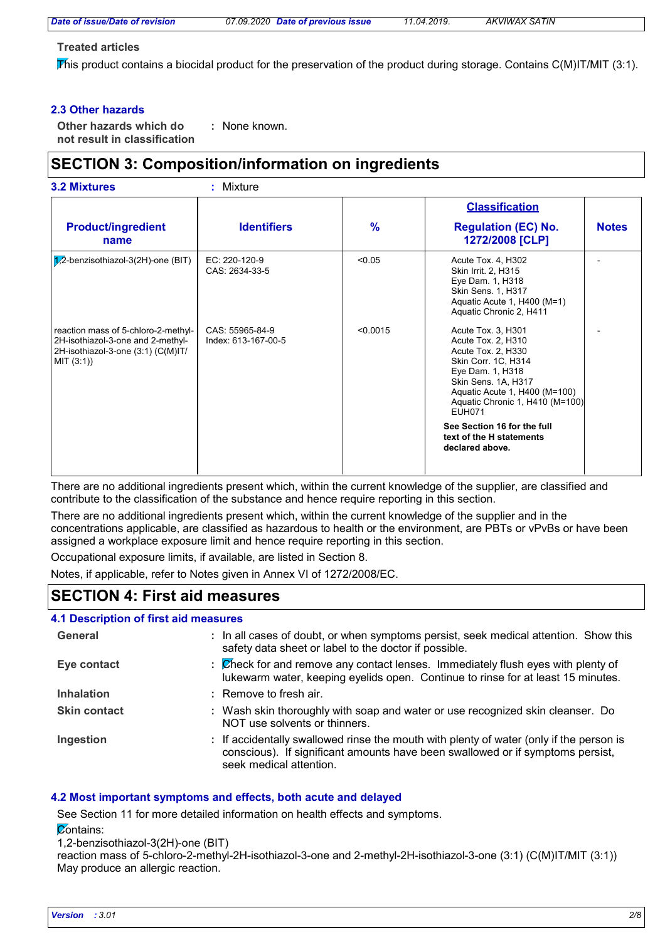#### **Treated articles**

This product contains a biocidal product for the preservation of the product during storage. Contains  $C(M)$ IT/MIT (3:1).

### **2.3 Other hazards**

**Other hazards which do : not result in classification** : None known.

# **SECTION 3: Composition/information on ingredients**

|                                                                                                                              |                                        |               | <b>Classification</b>                                                                                                                                                                                                 |              |
|------------------------------------------------------------------------------------------------------------------------------|----------------------------------------|---------------|-----------------------------------------------------------------------------------------------------------------------------------------------------------------------------------------------------------------------|--------------|
| <b>Product/ingredient</b><br>name                                                                                            | <b>Identifiers</b>                     | $\frac{9}{6}$ | <b>Regulation (EC) No.</b><br>1272/2008 [CLP]                                                                                                                                                                         | <b>Notes</b> |
| $\sqrt{1/2}$ -benzisothiazol-3(2H)-one (BIT)                                                                                 | EC: 220-120-9<br>CAS: 2634-33-5        | < 0.05        | Acute Tox. 4, H302<br>Skin Irrit. 2, H315<br>Eye Dam. 1, H318<br>Skin Sens. 1, H317<br>Aquatic Acute 1, H400 (M=1)<br>Aquatic Chronic 2, H411                                                                         |              |
| reaction mass of 5-chloro-2-methyl-<br>2H-isothiazol-3-one and 2-methyl-<br>2H-isothiazol-3-one (3:1) (C(M)IT/<br>MIT (3:1)) | CAS: 55965-84-9<br>Index: 613-167-00-5 | < 0.0015      | Acute Tox. 3, H301<br>Acute Tox. 2, H310<br>Acute Tox. 2, H330<br>Skin Corr. 1C, H314<br>Eye Dam. 1, H318<br>Skin Sens. 1A, H317<br>Aquatic Acute 1, H400 (M=100)<br>Aquatic Chronic 1, H410 (M=100)<br><b>EUH071</b> |              |
|                                                                                                                              |                                        |               | See Section 16 for the full<br>text of the H statements<br>declared above.                                                                                                                                            |              |

There are no additional ingredients present which, within the current knowledge of the supplier, are classified and contribute to the classification of the substance and hence require reporting in this section.

There are no additional ingredients present which, within the current knowledge of the supplier and in the concentrations applicable, are classified as hazardous to health or the environment, are PBTs or vPvBs or have been assigned a workplace exposure limit and hence require reporting in this section.

Occupational exposure limits, if available, are listed in Section 8.

Notes, if applicable, refer to Notes given in Annex VI of 1272/2008/EC.

# **SECTION 4: First aid measures**

### **4.1 Description of first aid measures**

| General             | : In all cases of doubt, or when symptoms persist, seek medical attention. Show this<br>safety data sheet or label to the doctor if possible.                                                        |
|---------------------|------------------------------------------------------------------------------------------------------------------------------------------------------------------------------------------------------|
| Eye contact         | : Check for and remove any contact lenses. Immediately flush eyes with plenty of<br>lukewarm water, keeping eyelids open. Continue to rinse for at least 15 minutes.                                 |
| <b>Inhalation</b>   | : Remove to fresh air.                                                                                                                                                                               |
| <b>Skin contact</b> | : Wash skin thoroughly with soap and water or use recognized skin cleanser. Do<br>NOT use solvents or thinners.                                                                                      |
| Ingestion           | : If accidentally swallowed rinse the mouth with plenty of water (only if the person is<br>conscious). If significant amounts have been swallowed or if symptoms persist,<br>seek medical attention. |

### **4.2 Most important symptoms and effects, both acute and delayed**

See Section 11 for more detailed information on health effects and symptoms.

**Contains:** 

1,2-benzisothiazol-3(2H)-one (BIT)

reaction mass of 5-chloro-2-methyl-2H-isothiazol-3-one and 2-methyl-2H-isothiazol-3-one (3:1) (C(M)IT/MIT (3:1)) May produce an allergic reaction.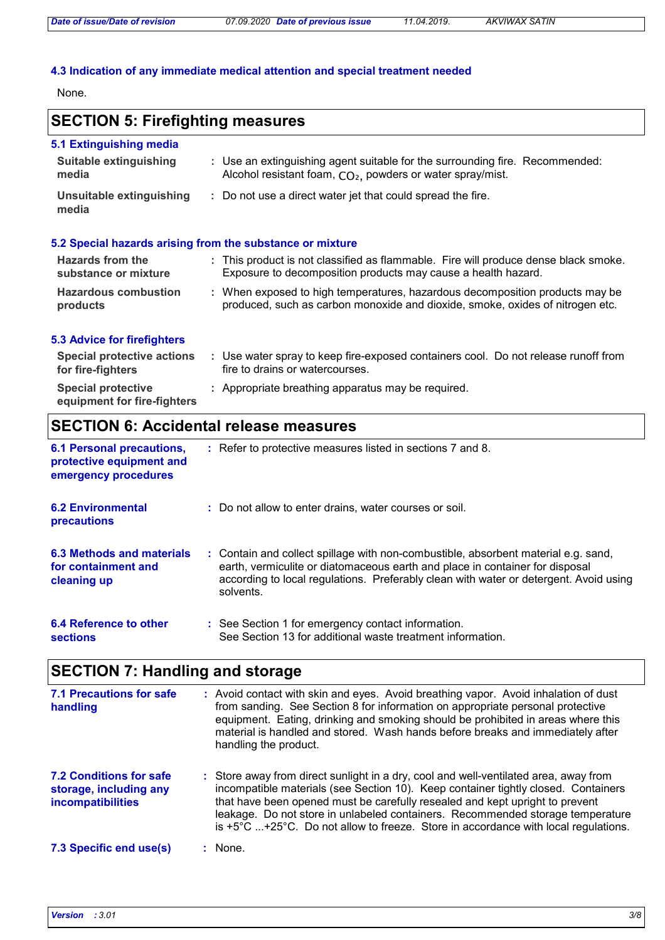# **4.3 Indication of any immediate medical attention and special treatment needed**

None.

# **SECTION 5: Firefighting measures**

| 5.1 Extinguishing media                                   |                                                                                                                                              |  |  |  |
|-----------------------------------------------------------|----------------------------------------------------------------------------------------------------------------------------------------------|--|--|--|
| Suitable extinguishing<br>media                           | : Use an extinguishing agent suitable for the surrounding fire. Recommended:<br>Alcohol resistant foam, $CO2$ , powders or water spray/mist. |  |  |  |
| Unsuitable extinguishing<br>media                         | : Do not use a direct water jet that could spread the fire.                                                                                  |  |  |  |
| 5.2 Special hazards arising from the substance or mixture |                                                                                                                                              |  |  |  |

| <b>Hazards from the</b><br>substance or mixture | : This product is not classified as flammable. Fire will produce dense black smoke.<br>Exposure to decomposition products may cause a health hazard.          |  |
|-------------------------------------------------|---------------------------------------------------------------------------------------------------------------------------------------------------------------|--|
| <b>Hazardous combustion</b><br>products         | : When exposed to high temperatures, hazardous decomposition products may be<br>produced, such as carbon monoxide and dioxide, smoke, oxides of nitrogen etc. |  |

### **5.3 Advice for firefighters**

| <b>Special protective actions</b><br>for fire-fighters   | Use water spray to keep fire-exposed containers cool. Do not release runoff from<br>fire to drains or watercourses. |
|----------------------------------------------------------|---------------------------------------------------------------------------------------------------------------------|
| <b>Special protective</b><br>equipment for fire-fighters | : Appropriate breathing apparatus may be required.                                                                  |

# **SECTION 6: Accidental release measures**

| <b>6.1 Personal precautions,</b><br>protective equipment and<br>emergency procedures | : Refer to protective measures listed in sections 7 and 8.                                                                                                                                                                                                               |
|--------------------------------------------------------------------------------------|--------------------------------------------------------------------------------------------------------------------------------------------------------------------------------------------------------------------------------------------------------------------------|
| <b>6.2 Environmental</b><br>precautions                                              | : Do not allow to enter drains, water courses or soil.                                                                                                                                                                                                                   |
| 6.3 Methods and materials<br>for containment and<br>cleaning up                      | : Contain and collect spillage with non-combustible, absorbent material e.g. sand,<br>earth, vermiculite or diatomaceous earth and place in container for disposal<br>according to local regulations. Preferably clean with water or detergent. Avoid using<br>solvents. |
| <b>6.4 Reference to other</b><br><b>sections</b>                                     | : See Section 1 for emergency contact information.<br>See Section 13 for additional waste treatment information.                                                                                                                                                         |

# **SECTION 7: Handling and storage**

| <b>7.1 Precautions for safe</b><br>handling                                   | : Avoid contact with skin and eyes. Avoid breathing vapor. Avoid inhalation of dust<br>from sanding. See Section 8 for information on appropriate personal protective<br>equipment. Eating, drinking and smoking should be prohibited in areas where this<br>material is handled and stored. Wash hands before breaks and immediately after<br>handling the product.                                                                         |
|-------------------------------------------------------------------------------|----------------------------------------------------------------------------------------------------------------------------------------------------------------------------------------------------------------------------------------------------------------------------------------------------------------------------------------------------------------------------------------------------------------------------------------------|
| 7.2 Conditions for safe<br>storage, including any<br><i>incompatibilities</i> | : Store away from direct sunlight in a dry, cool and well-ventilated area, away from<br>incompatible materials (see Section 10). Keep container tightly closed. Containers<br>that have been opened must be carefully resealed and kept upright to prevent<br>leakage. Do not store in unlabeled containers. Recommended storage temperature<br>is $+5^{\circ}$ C +25°C. Do not allow to freeze. Store in accordance with local regulations. |
| 7.3 Specific end use(s)                                                       | None.                                                                                                                                                                                                                                                                                                                                                                                                                                        |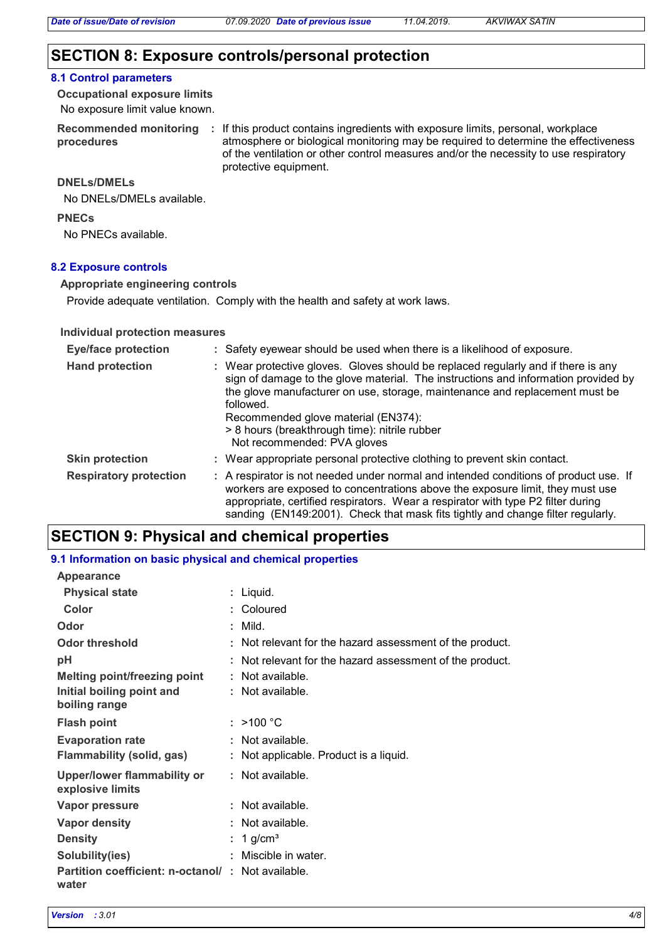# **SECTION 8: Exposure controls/personal protection**

#### **8.1 Control parameters**

No exposure limit value known. **Occupational exposure limits**

**procedures**

Recommended monitoring : If this product contains ingredients with exposure limits, personal, workplace atmosphere or biological monitoring may be required to determine the effectiveness of the ventilation or other control measures and/or the necessity to use respiratory protective equipment.

### **DNELs/DMELs**

No DNELs/DMELs available.

**PNECs**

No PNECs available.

#### **8.2 Exposure controls**

**Appropriate engineering controls**

Provide adequate ventilation. Comply with the health and safety at work laws.

#### **Individual protection measures**

| <b>Eye/face protection</b>    | : Safety eyewear should be used when there is a likelihood of exposure.                                                                                                                                                                                                                                                                                                                    |
|-------------------------------|--------------------------------------------------------------------------------------------------------------------------------------------------------------------------------------------------------------------------------------------------------------------------------------------------------------------------------------------------------------------------------------------|
| <b>Hand protection</b>        | : Wear protective gloves. Gloves should be replaced regularly and if there is any<br>sign of damage to the glove material. The instructions and information provided by<br>the glove manufacturer on use, storage, maintenance and replacement must be<br>followed.<br>Recommended glove material (EN374):<br>> 8 hours (breakthrough time): nitrile rubber<br>Not recommended: PVA gloves |
| <b>Skin protection</b>        | : Wear appropriate personal protective clothing to prevent skin contact.                                                                                                                                                                                                                                                                                                                   |
| <b>Respiratory protection</b> | : A respirator is not needed under normal and intended conditions of product use. If<br>workers are exposed to concentrations above the exposure limit, they must use<br>appropriate, certified respirators. Wear a respirator with type P2 filter during<br>sanding (EN149:2001). Check that mask fits tightly and change filter regularly.                                               |

# **SECTION 9: Physical and chemical properties**

| 9.1 Information on basic physical and chemical properties  |                                                          |
|------------------------------------------------------------|----------------------------------------------------------|
| <b>Appearance</b>                                          |                                                          |
| <b>Physical state</b>                                      | : Liquid.                                                |
| Color                                                      | : Coloured                                               |
| Odor                                                       | : Mild.                                                  |
| <b>Odor threshold</b>                                      | : Not relevant for the hazard assessment of the product. |
| рH                                                         | : Not relevant for the hazard assessment of the product. |
| <b>Melting point/freezing point</b>                        | Not available.                                           |
| Initial boiling point and<br>boiling range                 | : Not available.                                         |
| <b>Flash point</b>                                         | : $>100 °C$                                              |
| <b>Evaporation rate</b>                                    | Not available.                                           |
| Flammability (solid, gas)                                  | : Not applicable. Product is a liquid.                   |
| <b>Upper/lower flammability or</b><br>explosive limits     | : Not available.                                         |
| <b>Vapor pressure</b>                                      | : Not available.                                         |
| <b>Vapor density</b>                                       | Not available.                                           |
| <b>Density</b>                                             | 1 g/cm <sup>3</sup>                                      |
| Solubility(ies)                                            | Miscible in water.                                       |
| Partition coefficient: n-octanol/: Not available.<br>water |                                                          |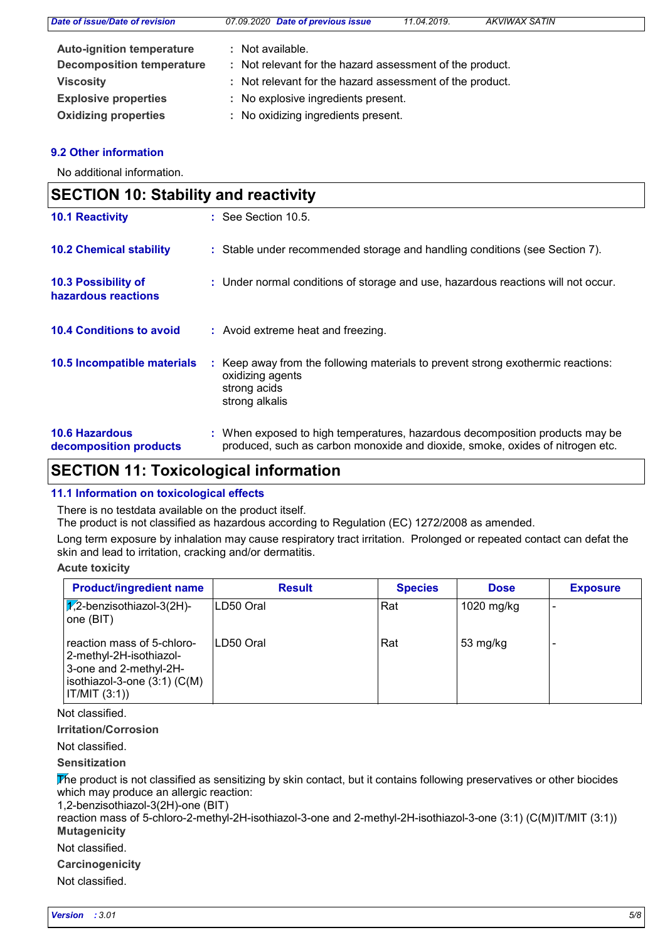| Date of issue/Date of revision   | 07.09.2020 Date of previous issue                        | 11.04.2019. | <b>AKVIWAX SATIN</b> |  |
|----------------------------------|----------------------------------------------------------|-------------|----------------------|--|
| <b>Auto-ignition temperature</b> | : Not available.                                         |             |                      |  |
| <b>Decomposition temperature</b> | : Not relevant for the hazard assessment of the product. |             |                      |  |
| <b>Viscosity</b>                 | : Not relevant for the hazard assessment of the product. |             |                      |  |
| <b>Explosive properties</b>      | : No explosive ingredients present.                      |             |                      |  |
| <b>Oxidizing properties</b>      | : No oxidizing ingredients present.                      |             |                      |  |

### **9.2 Other information**

No additional information.

| <b>SECTION 10: Stability and reactivity</b>     |                                                                                                                                                               |  |
|-------------------------------------------------|---------------------------------------------------------------------------------------------------------------------------------------------------------------|--|
| <b>10.1 Reactivity</b>                          | $\therefore$ See Section 10.5.                                                                                                                                |  |
| <b>10.2 Chemical stability</b>                  | : Stable under recommended storage and handling conditions (see Section 7).                                                                                   |  |
| 10.3 Possibility of<br>hazardous reactions      | : Under normal conditions of storage and use, hazardous reactions will not occur.                                                                             |  |
| <b>10.4 Conditions to avoid</b>                 | : Avoid extreme heat and freezing.                                                                                                                            |  |
| 10.5 Incompatible materials                     | : Keep away from the following materials to prevent strong exothermic reactions:<br>oxidizing agents<br>strong acids<br>strong alkalis                        |  |
| <b>10.6 Hazardous</b><br>decomposition products | : When exposed to high temperatures, hazardous decomposition products may be<br>produced, such as carbon monoxide and dioxide, smoke, oxides of nitrogen etc. |  |

# **SECTION 11: Toxicological information**

### **11.1 Information on toxicological effects**

There is no testdata available on the product itself.

The product is not classified as hazardous according to Regulation (EC) 1272/2008 as amended.

Long term exposure by inhalation may cause respiratory tract irritation. Prolonged or repeated contact can defat the skin and lead to irritation, cracking and/or dermatitis.

**Acute toxicity**

| <b>Product/ingredient name</b>                                                                                                       | <b>Result</b> | <b>Species</b> | <b>Dose</b>        | <b>Exposure</b> |
|--------------------------------------------------------------------------------------------------------------------------------------|---------------|----------------|--------------------|-----------------|
| $\sqrt{2}$ -benzisothiazol-3(2H)-<br>one (BIT)                                                                                       | ILD50 Oral    | Rat            | 1020 mg/kg         |                 |
| reaction mass of 5-chloro-<br>2-methyl-2H-isothiazol-<br>3-one and 2-methyl-2H-<br>isothiazol-3-one $(3:1)$ $(C(M))$<br>IT/MIT (3:1) | ILD50 Oral    | Rat            | $53 \text{ mg/kg}$ |                 |

Not classified.

**Irritation/Corrosion**

Not classified.

**Sensitization**

The product is not classified as sensitizing by skin contact, but it contains following preservatives or other biocides which may produce an allergic reaction:

1,2-benzisothiazol-3(2H)-one (BIT)

**Mutagenicity** reaction mass of 5-chloro-2-methyl-2H-isothiazol-3-one and 2-methyl-2H-isothiazol-3-one (3:1) (C(M)IT/MIT (3:1))

Not classified.

**Carcinogenicity**

Not classified.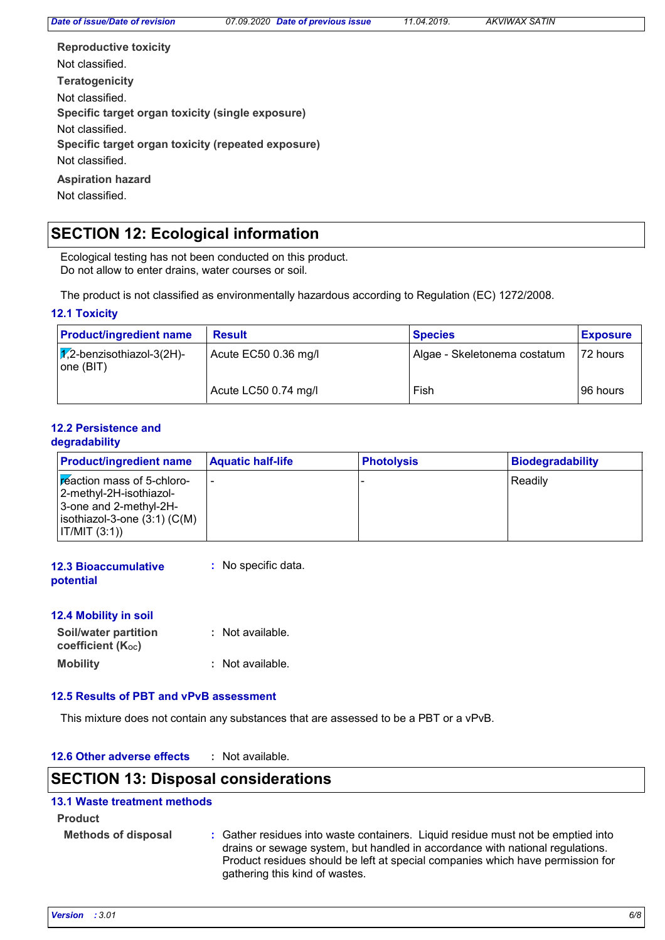**Teratogenicity Reproductive toxicity Specific target organ toxicity (single exposure) Specific target organ toxicity (repeated exposure) Aspiration hazard** Not classified. Not classified. Not classified. Not classified. Not classified.

# **SECTION 12: Ecological information**

Ecological testing has not been conducted on this product. Do not allow to enter drains, water courses or soil.

The product is not classified as environmentally hazardous according to Regulation (EC) 1272/2008.

### **12.1 Toxicity**

| <b>Product/ingredient name</b>                | <b>Result</b>        | <b>Species</b>               | <b>Exposure</b> |
|-----------------------------------------------|----------------------|------------------------------|-----------------|
| $\sqrt{2}$ -benzisothiazol-3(2H)-<br>one(BIT) | Acute EC50 0.36 mg/l | Algae - Skeletonema costatum | 72 hours        |
|                                               | Acute LC50 0.74 mg/l | Fish                         | 96 hours        |

#### **12.2 Persistence and degradability**

| <b>Product/ingredient name</b>                                                                                                       | <b>Aquatic half-life</b> | <b>Photolysis</b> | Biodegradability |
|--------------------------------------------------------------------------------------------------------------------------------------|--------------------------|-------------------|------------------|
| Freaction mass of 5-chloro-<br> 2-methyl-2H-isothiazol-<br>3-one and 2-methyl-2H-<br>$ isothiazol-3-one(3:1)(C(M)) $<br> IT/MIT(3:1) |                          |                   | Readily          |

| <b>12.3 Bioaccumulative</b> | : No specific data. |
|-----------------------------|---------------------|
| potential                   |                     |

| 12.4 Mobility in soil                     |                  |
|-------------------------------------------|------------------|
| Soil/water partition<br>coefficient (Koc) | : Not available. |
| <b>Mobility</b>                           | : Not available. |

### **12.5 Results of PBT and vPvB assessment**

This mixture does not contain any substances that are assessed to be a PBT or a vPvB.

| 12.6 Other adverse effects | · Not available. |
|----------------------------|------------------|
|----------------------------|------------------|

# **SECTION 13: Disposal considerations**

### **13.1 Waste treatment methods**

**Product**

**Methods of disposal :** Gather residues into waste containers. Liquid residue must not be emptied into drains or sewage system, but handled in accordance with national regulations. Product residues should be left at special companies which have permission for gathering this kind of wastes.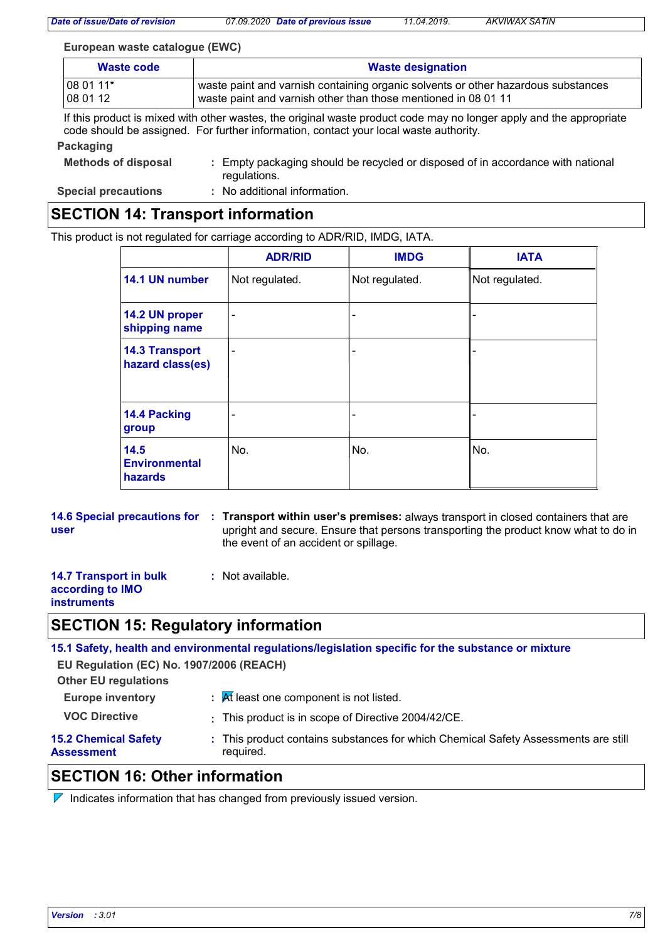*Date of issue/Date of revision 07.09.2020 Date of previous issue 11.04.2019. AKVIWAX SATIN*

#### **European waste catalogue (EWC)**

| Waste code                     | <b>Waste designation</b>                                                          |  |
|--------------------------------|-----------------------------------------------------------------------------------|--|
|                                | waste paint and varnish containing organic solvents or other hazardous substances |  |
| $ 080111*$<br>$ 080112\rangle$ | waste paint and varnish other than those mentioned in 08 01 11                    |  |

If this product is mixed with other wastes, the original waste product code may no longer apply and the appropriate code should be assigned. For further information, contact your local waste authority.

#### **Packaging**

| <b>Methods of disposal</b> | : Empty packaging should be recycled or disposed of in accordance with national |
|----------------------------|---------------------------------------------------------------------------------|
|                            | regulations.                                                                    |

**Special precautions :** No additional information.

# **SECTION 14: Transport information**

This product is not regulated for carriage according to ADR/RID, IMDG, IATA.

|                                           | <b>ADR/RID</b>           | <b>IMDG</b>                  | <b>IATA</b>    |
|-------------------------------------------|--------------------------|------------------------------|----------------|
| 14.1 UN number                            | Not regulated.           | Not regulated.               | Not regulated. |
| 14.2 UN proper<br>shipping name           | $\overline{\phantom{0}}$ | $\overline{\phantom{a}}$     |                |
| <b>14.3 Transport</b><br>hazard class(es) | ۰                        | $\overline{\phantom{a}}$     |                |
| 14.4 Packing<br>group                     | ٠                        | $\qquad \qquad \blacksquare$ |                |
| 14.5<br><b>Environmental</b><br>hazards   | No.                      | No.                          | No.            |

**14.6 Special precautions for : Transport within user's premises: always transport in closed containers that are user** upright and secure. Ensure that persons transporting the product know what to do in the event of an accident or spillage.

- **14.7 Transport in bulk according to IMO instruments**
- **:** Not available.

# **SECTION 15: Regulatory information**

**15.1 Safety, health and environmental regulations/legislation specific for the substance or mixture**

**EU Regulation (EC) No. 1907/2006 (REACH)**

**Other EU regulations**

- **Europe inventory :** At least one component is not listed.
- 
- **VOC Directive :** This product is in scope of Directive 2004/42/CE.

This product contains substances for which Chemical Safety Assessments are still **:**

#### **15.2 Chemical Safety Assessment**

required.

# **SECTION 16: Other information**

 $\nabla$  Indicates information that has changed from previously issued version.